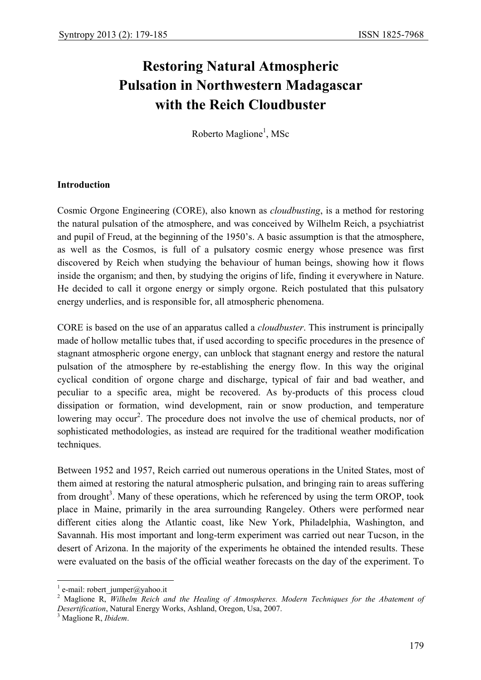# **Restoring Natural Atmospheric Pulsation in Northwestern Madagascar with the Reich Cloudbuster**

Roberto Maglione<sup>1</sup>, MSc

### **Introduction**

Cosmic Orgone Engineering (CORE), also known as *cloudbusting*, is a method for restoring the natural pulsation of the atmosphere, and was conceived by Wilhelm Reich, a psychiatrist and pupil of Freud, at the beginning of the 1950's. A basic assumption is that the atmosphere, as well as the Cosmos, is full of a pulsatory cosmic energy whose presence was first discovered by Reich when studying the behaviour of human beings, showing how it flows inside the organism; and then, by studying the origins of life, finding it everywhere in Nature. He decided to call it orgone energy or simply orgone. Reich postulated that this pulsatory energy underlies, and is responsible for, all atmospheric phenomena.

CORE is based on the use of an apparatus called a *cloudbuster*. This instrument is principally made of hollow metallic tubes that, if used according to specific procedures in the presence of stagnant atmospheric orgone energy, can unblock that stagnant energy and restore the natural pulsation of the atmosphere by re-establishing the energy flow. In this way the original cyclical condition of orgone charge and discharge, typical of fair and bad weather, and peculiar to a specific area, might be recovered. As by-products of this process cloud dissipation or formation, wind development, rain or snow production, and temperature lowering may occur<sup>2</sup>. The procedure does not involve the use of chemical products, nor of sophisticated methodologies, as instead are required for the traditional weather modification techniques.

Between 1952 and 1957, Reich carried out numerous operations in the United States, most of them aimed at restoring the natural atmospheric pulsation, and bringing rain to areas suffering from drought<sup>3</sup>. Many of these operations, which he referenced by using the term OROP, took place in Maine, primarily in the area surrounding Rangeley. Others were performed near different cities along the Atlantic coast, like New York, Philadelphia, Washington, and Savannah. His most important and long-term experiment was carried out near Tucson, in the desert of Arizona. In the majority of the experiments he obtained the intended results. These were evaluated on the basis of the official weather forecasts on the day of the experiment. To

 $\overline{a}$ 

 $<sup>1</sup>$  e-mail: robert\_jumper@yahoo.it</sup>

<sup>&</sup>lt;sup>2</sup> Maglione R, *Wilhelm Reich and the Healing of Atmospheres. Modern Techniques for the Abatement of Desertification*, Natural Energy Works, Ashland, Oregon, Usa, 2007. 3

Maglione R, *Ibidem*.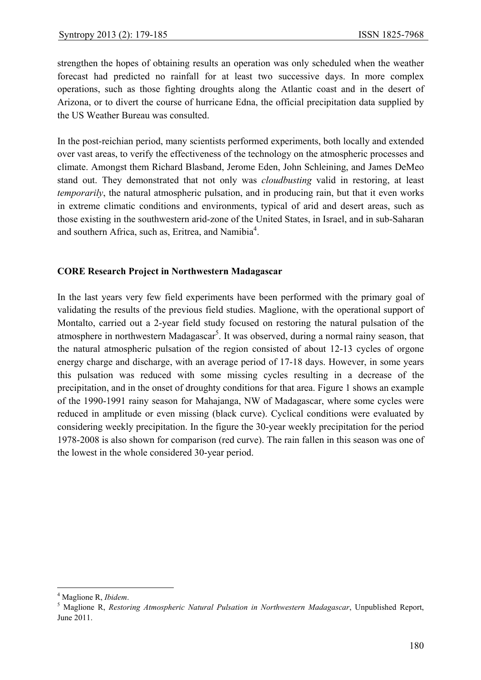strengthen the hopes of obtaining results an operation was only scheduled when the weather forecast had predicted no rainfall for at least two successive days. In more complex operations, such as those fighting droughts along the Atlantic coast and in the desert of Arizona, or to divert the course of hurricane Edna, the official precipitation data supplied by the US Weather Bureau was consulted.

In the post-reichian period, many scientists performed experiments, both locally and extended over vast areas, to verify the effectiveness of the technology on the atmospheric processes and climate. Amongst them Richard Blasband, Jerome Eden, John Schleining, and James DeMeo stand out. They demonstrated that not only was *cloudbusting* valid in restoring, at least *temporarily*, the natural atmospheric pulsation, and in producing rain, but that it even works in extreme climatic conditions and environments, typical of arid and desert areas, such as those existing in the southwestern arid-zone of the United States, in Israel, and in sub-Saharan and southern Africa, such as, Eritrea, and Namibia<sup>4</sup>.

## **CORE Research Project in Northwestern Madagascar**

In the last years very few field experiments have been performed with the primary goal of validating the results of the previous field studies. Maglione, with the operational support of Montalto, carried out a 2-year field study focused on restoring the natural pulsation of the atmosphere in northwestern Madagascar<sup>5</sup>. It was observed, during a normal rainy season, that the natural atmospheric pulsation of the region consisted of about 12-13 cycles of orgone energy charge and discharge, with an average period of 17-18 days. However, in some years this pulsation was reduced with some missing cycles resulting in a decrease of the precipitation, and in the onset of droughty conditions for that area. Figure 1 shows an example of the 1990-1991 rainy season for Mahajanga, NW of Madagascar, where some cycles were reduced in amplitude or even missing (black curve). Cyclical conditions were evaluated by considering weekly precipitation. In the figure the 30-year weekly precipitation for the period 1978-2008 is also shown for comparison (red curve). The rain fallen in this season was one of the lowest in the whole considered 30-year period.

 $\overline{a}$ 

<sup>&</sup>lt;sup>4</sup> Maglione R, *Ibidem*.<br><sup>5</sup> Maglione B, *Bester* 

Maglione R, *Restoring Atmospheric Natural Pulsation in Northwestern Madagascar*, Unpublished Report, June 2011.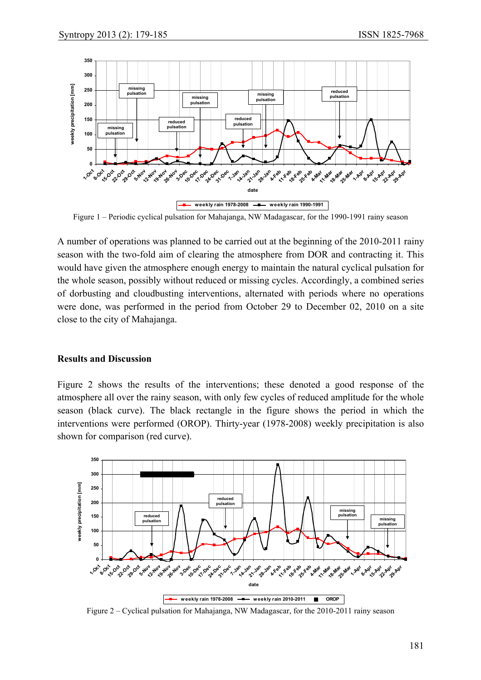

Figure 1 – Periodic cyclical pulsation for Mahajanga, NW Madagascar, for the 1990-1991 rainy season

A number of operations was planned to be carried out at the beginning of the 2010-2011 rainy season with the two-fold aim of clearing the atmosphere from DOR and contracting it. This would have given the atmosphere enough energy to maintain the natural cyclical pulsation for the whole season, possibly without reduced or missing cycles. Accordingly, a combined series of dorbusting and cloudbusting interventions, alternated with periods where no operations were done, was performed in the period from October 29 to December 02, 2010 on a site close to the city of Mahajanga.

## **Results and Discussion**

Figure 2 shows the results of the interventions; these denoted a good response of the atmosphere all over the rainy season, with only few cycles of reduced amplitude for the whole season (black curve). The black rectangle in the figure shows the period in which the interventions were performed (OROP). Thirty-year (1978-2008) weekly precipitation is also shown for comparison (red curve).



Figure 2 – Cyclical pulsation for Mahajanga, NW Madagascar, for the 2010-2011 rainy season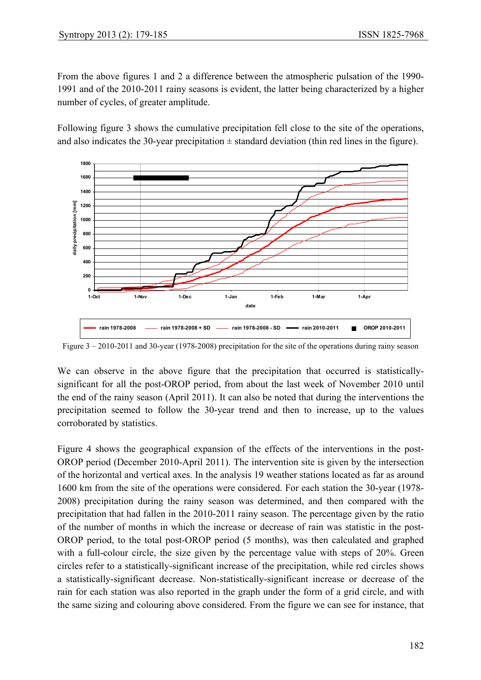From the above figures 1 and 2 a difference between the atmospheric pulsation of the 1990- 1991 and of the 2010-2011 rainy seasons is evident, the latter being characterized by a higher number of cycles, of greater amplitude.

Following figure 3 shows the cumulative precipitation fell close to the site of the operations, and also indicates the 30-year precipitation  $\pm$  standard deviation (thin red lines in the figure).



Figure 3 – 2010-2011 and 30-year (1978-2008) precipitation for the site of the operations during rainy season

We can observe in the above figure that the precipitation that occurred is statisticallysignificant for all the post-OROP period, from about the last week of November 2010 until the end of the rainy season (April 2011). It can also be noted that during the interventions the precipitation seemed to follow the 30-year trend and then to increase, up to the values corroborated by statistics.

Figure 4 shows the geographical expansion of the effects of the interventions in the post-OROP period (December 2010-April 2011). The intervention site is given by the intersection of the horizontal and vertical axes. In the analysis 19 weather stations located as far as around 1600 km from the site of the operations were considered. For each station the 30-year (1978- 2008) precipitation during the rainy season was determined, and then compared with the precipitation that had fallen in the 2010-2011 rainy season. The percentage given by the ratio of the number of months in which the increase or decrease of rain was statistic in the post-OROP period, to the total post-OROP period (5 months), was then calculated and graphed with a full-colour circle, the size given by the percentage value with steps of 20%. Green circles refer to a statistically-significant increase of the precipitation, while red circles shows a statistically-significant decrease. Non-statistically-significant increase or decrease of the rain for each station was also reported in the graph under the form of a grid circle, and with the same sizing and colouring above considered. From the figure we can see for instance, that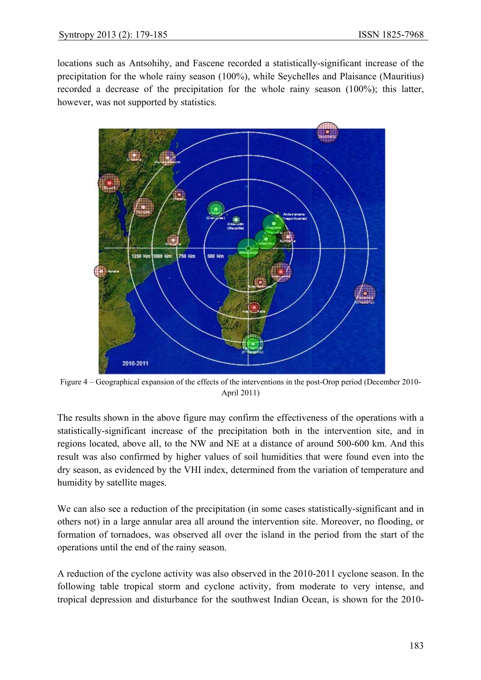locations such as Antsohihy, and Fascene recorded a statistically-significant increase of the precipitation for the whole rainy season (100%), while Seychelles and Plaisance (Mauritius) recorded a decrease of the precipitation for the whole rainy season (100%); this latter, however, was not supported by statistics.



Figure 4 – Geographical expansion of the effects of the interventions in the post-Orop period (December 2010- April 2011)

The results shown in the above figure may confirm the effectiveness of the operations with a statistically-significant increase of the precipitation both in the intervention site, and in regions located, above all, to the NW and NE at a distance of around 500-600 km. And this result was also confirmed by higher values of soil humidities that were found even into the dry season, as evidenced by the VHI index, determined from the variation of temperature and humidity by satellite mages.

We can also see a reduction of the precipitation (in some cases statistically-significant and in others not) in a large annular area all around the intervention site. Moreover, no flooding, or formation of tornadoes, was observed all over the island in the period from the start of the operations until the end of the rainy season.

A reduction of the cyclone activity was also observed in the 2010-2011 cyclone season. In the following table tropical storm and cyclone activity, from moderate to very intense, and tropical depression and disturbance for the southwest Indian Ocean, is shown for the 2010-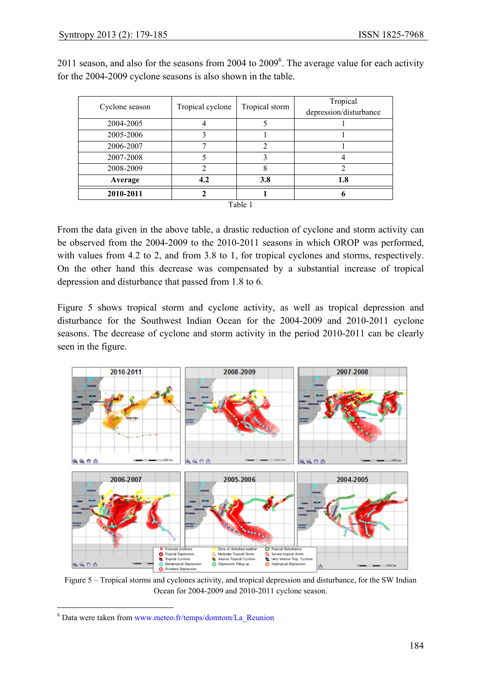| Cyclone season | Tropical cyclone | Tropical storm | Tropical               |
|----------------|------------------|----------------|------------------------|
|                |                  |                | depression/disturbance |
| 2004-2005      |                  |                |                        |
| 2005-2006      |                  |                |                        |
| 2006-2007      |                  | 2              |                        |
| 2007-2008      |                  |                |                        |
| 2008-2009      |                  |                |                        |
| Average        | 4.2              | 3.8            | 1.8                    |
| 2010-2011      |                  |                |                        |
| Table 1        |                  |                |                        |

2011 season, and also for the seasons from 2004 to  $2009<sup>6</sup>$ . The average value for each activity for the 2004-2009 cyclone seasons is also shown in the table.

From the data given in the above table, a drastic reduction of cyclone and storm activity can be observed from the 2004-2009 to the 2010-2011 seasons in which OROP was performed, with values from 4.2 to 2, and from 3.8 to 1, for tropical cyclones and storms, respectively. On the other hand this decrease was compensated by a substantial increase of tropical depression and disturbance that passed from 1.8 to 6.

Figure 5 shows tropical storm and cyclone activity, as well as tropical depression and disturbance for the Southwest Indian Ocean for the 2004-2009 and 2010-2011 cyclone seasons. The decrease of cyclone and storm activity in the period 2010-2011 can be clearly seen in the figure.



Figure 5 – Tropical storms and cyclones activity, and tropical depression and disturbance, for the SW Indian Ocean for 2004-2009 and 2010-2011 cyclone season.

 $\overline{a}$ 

<sup>&</sup>lt;sup>6</sup> Data were taken from www.meteo.fr/temps/domtom/La\_Reunion